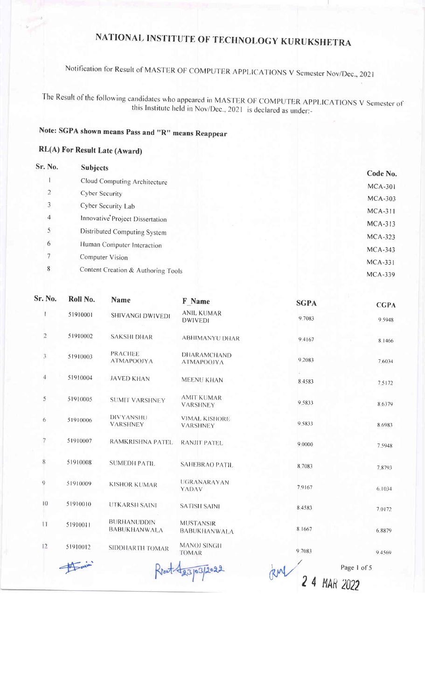Notification for Result of MASTER OF COMPUTER APPLICATIONS V Semester Nov/Dec., 2021

The Result of the following candidates who appeared in MASTER OF COMPUTER APPLICATIONS V Semester of this Institute held in Nov/Dec., 2021 is declared as under:-

### Note: SGPA shown means Pass and "R" means Reappear

#### RL(A) For Result Late (Award)

| <b>Sr. No.</b> | <b>Subjects</b>                    | Code No.                    |
|----------------|------------------------------------|-----------------------------|
|                | Cloud Computing Architecture       |                             |
| $\overline{2}$ | Cyber Security                     | $MCA-301$<br><b>MCA-303</b> |
| 3              | Cyber Security Lab                 | $MCA-311$                   |
| 4              | Innovative Project Dissertation    | $MCA-313$                   |
| 5              | Distributed Computing System       | $MCA-323$                   |
| 6              | Human Computer Interaction         | $MCA-343$                   |
| 7              | Computer Vision                    | $MCA-331$                   |
| 8              | Content Creation & Authoring Tools | $MCA-339$                   |
|                |                                    |                             |

| Sr. No.        | Roll No. | <b>Name</b>                               | F Name                                  | <b>SGPA</b>           | <b>CGPA</b> |
|----------------|----------|-------------------------------------------|-----------------------------------------|-----------------------|-------------|
|                | 51910001 | <b>SHIVANGI DWIVEDI</b>                   | <b>ANIL KUMAR</b><br><b>DWIVEDI</b>     | 9.7083                | 9.5948      |
| $\overline{2}$ | 51910002 | <b>SAKSHI DHAR</b>                        | <b>ABHIMANYU DHAR</b>                   | 9.4167                | 8.1466      |
| $\mathfrak{Z}$ | 51910003 | <b>PRACHEE</b><br><b>ATMAPOOJYA</b>       | DHARAMCHAND<br><b>ATMAPOOJYA</b>        | 9.2083                | 7 6034      |
| 4              | 51910004 | <b>JAVED KHAN</b>                         | MEENU KHAN                              | 8.4583                | 7.5172      |
| 5              | 51910005 | <b>SUMIT VARSHNEY</b>                     | <b>AMIT KUMAR</b><br><b>VARSHNEY</b>    | 9.5833                | 8.6379      |
| 6              | 51910006 | DIVYANSHU<br><b>VARSHNEY</b>              | <b>VIMAL KISHORE</b><br><b>VARSHNEY</b> | 9.5833                | 8.6983      |
| 7              | 51910007 | RAMKRISHNA PATEL                          | <b>RANJIT PATEL</b>                     | 9.0000                | 7.5948      |
| 8              | 51910008 | <b>SUMEDH PATIL</b>                       | <b>SAHEBRAO PATIL</b>                   | 8,7083                | 7.8793      |
| 9              | 51910009 | <b>KISHOR KUMAR</b>                       | UGRANARAYAN<br><b>YADAV</b>             | 7.9167                | 6.1034      |
| 10             | 51910010 | <b>UTKARSH SAINI</b>                      | <b>SATISH SAINI</b>                     | 8.4583                | 7.0172      |
| $\mathbf{1}$   | 51910011 | <b>BURHANUDDIN</b><br><b>BABUKHANWALA</b> | <b>MUSTANSIR</b><br><b>BABUKHANWALA</b> | 8.1667                | 6,8879      |
| 12             | 51910012 | SIDDHARTH TOMAR                           | <b>MANOJ SINGH</b><br><b>TOMAR</b>      | 9,7083                | 9.4569      |
|                |          |                                           | 123/03/2022                             |                       | Page 1 of 5 |
|                |          |                                           |                                         | 24<br><b>MAR 2022</b> |             |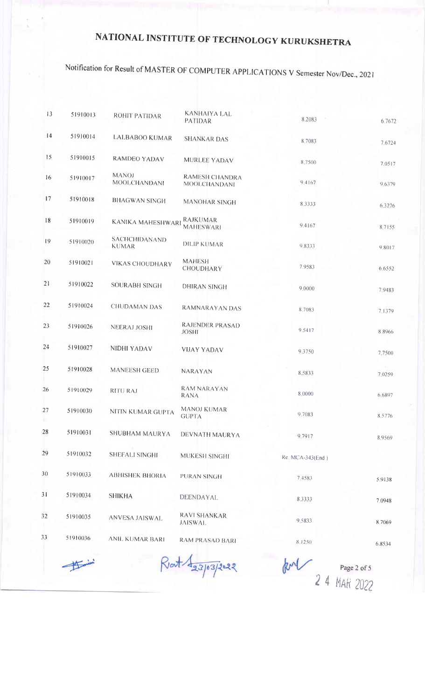# Notification for Result of MASTER OF COMPUTER APPLICATIONS V Semester Nov/Dec., 2021

| 13 | 51910013 | ROHIT PATIDAR                       | <b>KANHAIYA LAL</b>                          | 8.2083           |        |
|----|----------|-------------------------------------|----------------------------------------------|------------------|--------|
| 4  | 51910014 |                                     | <b>PATIDAR</b>                               |                  | 6.7672 |
|    |          | <b>LALBABOO KUMAR</b>               | <b>SHANKAR DAS</b>                           | 8,7083           | 7.6724 |
| 15 | 51910015 | <b>RAMDEO YADAV</b>                 | MURLEE YADAV                                 | 8,7500           | 7.0517 |
| 16 | 51910017 | <b>MANOJ</b><br><b>MOOLCHANDANI</b> | <b>RAMESH CHANDRA</b><br><b>MOOLCHANDANI</b> | 94167            | 9.6379 |
| 17 | 51910018 | <b>BHAGWAN SINGH</b>                | <b>MANOHAR SINGH</b>                         | 8,3333           | 6.3276 |
| 18 | 51910019 | <b>KANIKA MAHESHWARI</b>            | RAJKUMAR<br><b>MAHESWARI</b>                 | 9.4167           | 8.7155 |
| 19 | 51910020 | SACHCHIDANAND<br><b>KUMAR</b>       | <b>DILIP KUMAR</b>                           | 9.8333           | 98017  |
| 20 | 51910021 | <b>VIKAS CHOUDHARY</b>              | <b>MAHESH</b><br>CHOUDHARY                   | 7.9583           | 6,6552 |
| 21 | 51910022 | <b>SOURABH SINGH</b>                | <b>DHIRAN SINGH</b>                          | 9,0000           | 7.9483 |
| 22 | 51910024 | <b>CHUDAMAN DAS</b>                 | RAMNARAYAN DAS                               | 8.7083           | 7.1379 |
| 23 | 51910026 | NEERAJ JOSHI                        | RAJENDER PRASAD<br><b>JOSHI</b>              | 9,5417           | 8.8966 |
| 24 | 51910027 | NIDHI YADAV                         | <b>VIJAY YADAV</b>                           | 9.3750           | 7.7500 |
| 25 | 51910028 | <b>MANEESH GEED</b>                 | NARAYAN                                      | 8.5833           | 7.0259 |
| 26 | 51910029 | <b>RITURAJ</b>                      | <b>RAM NARAYAN</b><br><b>RANA</b>            | 8,0000           | 6.6897 |
| 27 | 51910030 | NITIN KUMAR GUPTA                   | MANOJ KUMAR<br><b>GUPTA</b>                  | 9.7083           | 8,5776 |
| 28 | 51910031 | SHUBHAM MAURYA                      | DEVNATH MAURYA                               | 9.7917           | 8.9569 |
| 29 | 51910032 | SHEFALI SINGHI                      | MUKESH SINGHI                                | Re. MCA-343(End) |        |
| 30 | 51910033 | <b>ABHISHEK BHORIA</b>              | PURAN SINGH                                  | 7 4583           | 5.9138 |
| 31 | 51910034 | <b>SHIKHA</b>                       | DEENDAYAL                                    | 8.3333           | 7.0948 |
| 32 | 51910035 | <b>ANVESA JAISWAL</b>               | <b>RAVI SHANKAR</b><br><b>JAISWAL</b>        | 9.5833           | 8.7069 |
| 33 | 51910036 | ANIL KUMAR BARI                     | <b>RAM PRASAD BARI</b>                       | 8.1250           | 6.8534 |
|    |          |                                     |                                              |                  |        |

Forming

Rent 1 23/03/2022

RM Page 2 of 5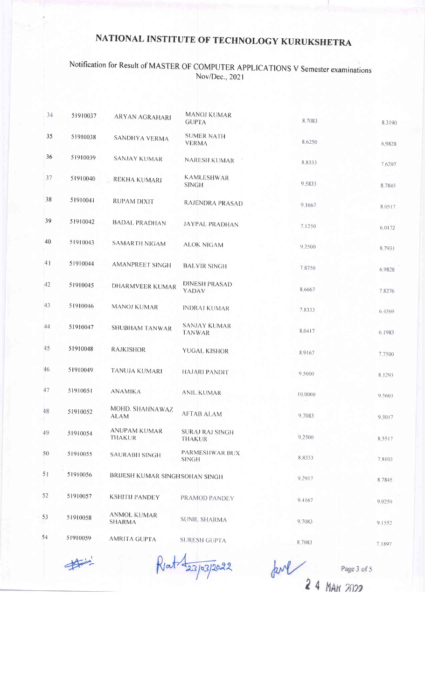#### Notification for Result of MASTER OF COMPUTER APPLICATIONS V Semester examinations Nov/Dec., 2021

| 34 | 51910037 | ARYAN AGRAHARI                      | <b>MANOJ KUMAR</b><br><b>GUPTA</b>      | 8.7083  | 8.3190 |
|----|----------|-------------------------------------|-----------------------------------------|---------|--------|
| 35 | 51910038 | SANDHYA VERMA                       | <b>SUMER NATH</b><br><b>VERMA</b>       | 8,6250  | 6,9828 |
| 36 | 51910039 | <b>SANJAY KUMAR</b>                 | NARESH KUMAR                            | 8,8333  | 7,6207 |
| 37 | 51910040 | REKHA KUMARI                        | <b>KAMLESHWAR</b><br><b>SINGH</b>       | 9.5833  | 8.7845 |
| 38 | 51910041 | RUPAM DIXIT                         | RAJENDRA PRASAD                         | 9.1667  | 8.0517 |
| 39 | 51910042 | <b>BADAL PRADHAN</b>                | <b>JAYPAL PRADHAN</b>                   | 7,1250  | 6.0172 |
| 40 | 51910043 | SAMARTH NIGAM                       | <b>ALOK NIGAM</b>                       | 9.2500  | 8.7931 |
| 41 | 51910044 | <b>AMANPREET SINGH</b>              | <b>BALVIR SINGH</b>                     | 7.8750  | 6,9828 |
| 42 | 51910045 | <b>DHARMVEER KUMAR</b>              | <b>DINESH PRASAD</b><br>YADAV           | 8.6667  | 7.8276 |
| 43 | 51910046 | <b>MANOJ KUMAR</b>                  | <b>INDRAJ KUMAR</b>                     | 78333   | 6.4569 |
| 44 | 51910047 | <b>SHUBHAM TANWAR</b>               | <b>SANJAY KUMAR</b><br><b>TANWAR</b>    | 8.0417  | 6,1983 |
| 45 | 51910048 | <b>RAJKISHOR</b>                    | <b>YUGAL KISHOR</b>                     | 8.9167  | 7.7500 |
| 46 | 51910049 | TANUJA KUMARI                       | HAJARI PANDIT                           | 9.5000  | 8.1293 |
| 47 | 51910051 | <b>ANAMIKA</b>                      | <b>ANIL KUMAR</b>                       | 10,0000 | 9.5603 |
| 48 | 51910052 | MOHD. SHAHNAWAZ<br>ALAM             | <b>AFTAB ALAM</b>                       | 9.7083  | 9.3017 |
| 49 | 51910054 | ANUPAM KUMAR<br><b>THAKUR</b>       | <b>SURAJ RAJ SINGH</b><br><b>THAKUR</b> | 9.2500  | 8.5517 |
| 50 | 51910055 | <b>SAURABH SINGH</b>                | PARMESHWAR BUX<br><b>SINGH</b>          | 8.8333  | 7.8103 |
| 51 | 51910056 | BRIJESH KUMAR SINGH SOHAN SINGH     |                                         | 9.2917  | 8.7845 |
| 52 | 51910057 | <b>KSHITIJ PANDEY</b>               | PRAMOD PANDEY                           | 9.4167  | 9.0259 |
| 53 | 51910058 | <b>ANMOL KUMAR</b><br><b>SHARMA</b> | <b>SUNIL SHARMA</b>                     | 9.7083  | 9.1552 |
| 54 | 51910059 | AMRITA GUPTA                        | <b>SURESH GUPTA</b>                     | 8.7083  | 7.1897 |
|    | $A - 5A$ |                                     |                                         |         |        |

 $\rightarrow$ 

Kat 23/03/2022

 $\frac{1}{24}$   $\frac{p_{age}}{M_{AF}}$ Page 3 of 5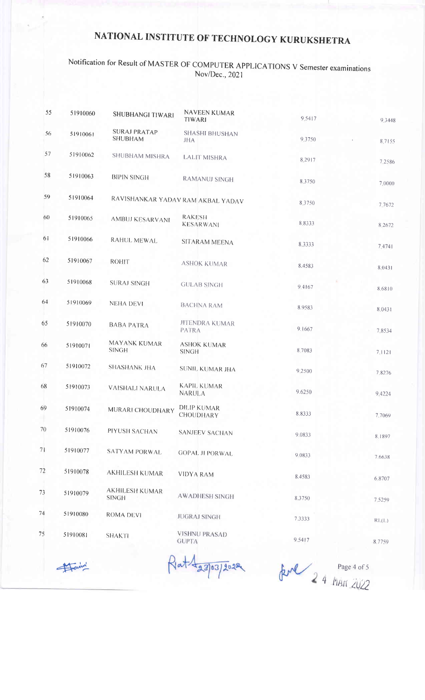#### Notification for Result of MASTER OF COMPUTER APPLICATIONS V Semester examinations Nov/Dec., 2021

| 51910060 | SHUBHANGI TIWARI                      | NAVEEN KUMAR<br>TIWARI              | 9.5417                                                                    | 9.3448 |
|----------|---------------------------------------|-------------------------------------|---------------------------------------------------------------------------|--------|
| 51910061 | <b>SURAJ PRATAP</b><br><b>SHUBHAM</b> | <b>SHASHI BHUSHAN</b><br><b>JHA</b> | 9.3750                                                                    | 8,7155 |
| 51910062 | SHUBHAM MISHRA                        | <b>LALIT MISHRA</b>                 | 8.2917                                                                    | 7.2586 |
| 51910063 | <b>BIPIN SINGH</b>                    | <b>RAMANUJ SINGH</b>                | 8.3750                                                                    | 7.0000 |
| 51910064 |                                       |                                     | 8.3750                                                                    | 7,7672 |
| 51910065 | AMBUJ KESARVANI                       | <b>RAKESH</b><br><b>KESARWANI</b>   | 8.8333                                                                    | 8.2672 |
| 51910066 | RAHUL MEWAL                           | SITARAM MEENA                       | 8.3333                                                                    | 7.4741 |
| 51910067 | <b>ROHIT</b>                          | <b>ASHOK KUMAR</b>                  | 8.4583                                                                    | 8.0431 |
| 51910068 | <b>SURAJ SINGH</b>                    | <b>GULAB SINGH</b>                  | 9.4167                                                                    | 8.6810 |
| 51910069 | <b>NEHA DEVI</b>                      | <b>BACHNA RAM</b>                   | 8.9583                                                                    | 8.0431 |
| 51910070 | <b>BABA PATRA</b>                     | <b>JITENDRA KUMAR</b><br>PATRA      | 9.1667                                                                    | 7.8534 |
| 51910071 | MAYANK KUMAR<br><b>SINGH</b>          | <b>ASHOK KUMAR</b><br><b>SINGH</b>  | 8.7083                                                                    | 7.1121 |
| 51910072 | <b>SHASHANK JHA</b>                   | SUNIL KUMAR JHA                     | 9.2500                                                                    | 7.8276 |
| 51910073 | <b>VAISHALI NARULA</b>                | <b>KAPIL KUMAR</b><br>NARULA        | 9.6250                                                                    | 9.4224 |
| 51910074 | MURARI CHOUDHARY                      | <b>DILIP KUMAR</b><br>CHOUDHARY     | 8.8333                                                                    | 7.7069 |
| 51910076 | PIYUSH SACHAN                         | <b>SANJEEV SACHAN</b>               | 9.0833                                                                    | 8.1897 |
| 51910077 | <b>SATYAM PORWAL</b>                  | <b>GOPAL JI PORWAL</b>              | 9,0833                                                                    | 7.6638 |
| 51910078 | <b>AKHILESH KUMAR</b>                 | <b>VIDYA RAM</b>                    | 8.4583                                                                    | 6.8707 |
| 51910079 | <b>AKHILESH KUMAR</b><br><b>SINGH</b> | <b>AWADHESH SINGH</b>               | 8,3750                                                                    | 7.5259 |
| 51910080 | <b>ROMA DEVI</b>                      | <b>JUGRAJ SINGH</b>                 | 7.3333                                                                    | RL(L)  |
| 51910081 | <b>SHAKTI</b>                         |                                     | 9.5417                                                                    | 8.7759 |
|          |                                       |                                     | RAVISHANKAR YADAV RAM AKBAL YADAV<br><b>VISHNU PRASAD</b><br><b>GUPTA</b> |        |

Faire

Rat 423/03/2022

Rul 2 4 MAR 2022